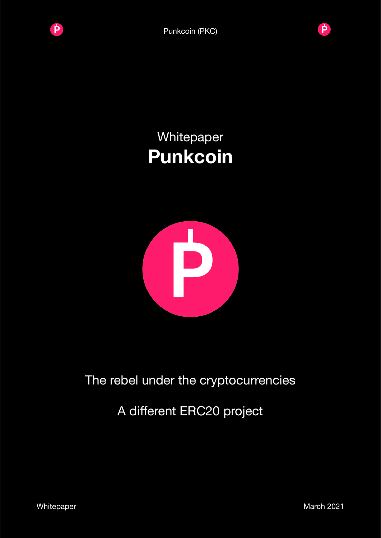



# Whitepaper **Punkcoin**



# The rebel under the cryptocurrencies

# A different ERC20 project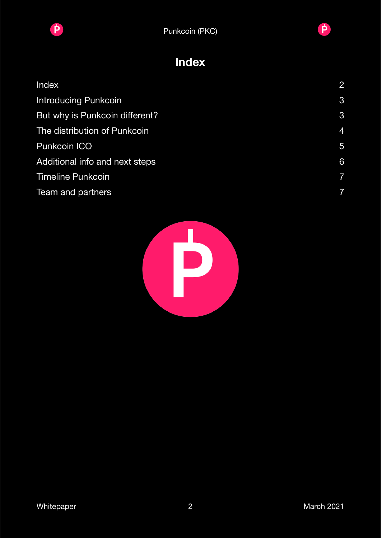

**Pulled** Punkcoin (PKC)



### <span id="page-1-0"></span>**Index**

| Index                          | $\overline{2}$ |
|--------------------------------|----------------|
| <b>Introducing Punkcoin</b>    | 3              |
| But why is Punkcoin different? | 3              |
| The distribution of Punkcoin   | 4              |
| <b>Punkcoin ICO</b>            | $\overline{5}$ |
| Additional info and next steps | 6              |
| <b>Timeline Punkcoin</b>       | $\overline{7}$ |
| Team and partners              | 7              |

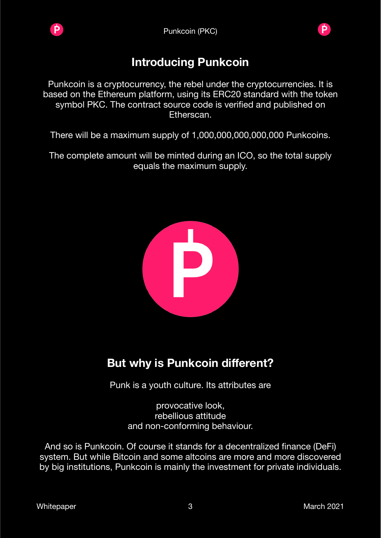



#### <span id="page-2-0"></span>**Introducing Punkcoin**

Punkcoin is a cryptocurrency, the rebel under the cryptocurrencies. It is based on the Ethereum platform, using its ERC20 standard with the token symbol PKC. The contract source code is verified and published on Etherscan.

There will be a maximum supply of 1,000,000,000,000,000 Punkcoins.

The complete amount will be minted during an ICO, so the total supply equals the maximum supply.



### <span id="page-2-1"></span>**But why is Punkcoin different?**

Punk is a youth culture. Its attributes are

provocative look, rebellious attitude and non-conforming behaviour.

And so is Punkcoin. Of course it stands for a decentralized finance (DeFi) system. But while Bitcoin and some altcoins are more and more discovered by big institutions, Punkcoin is mainly the investment for private individuals.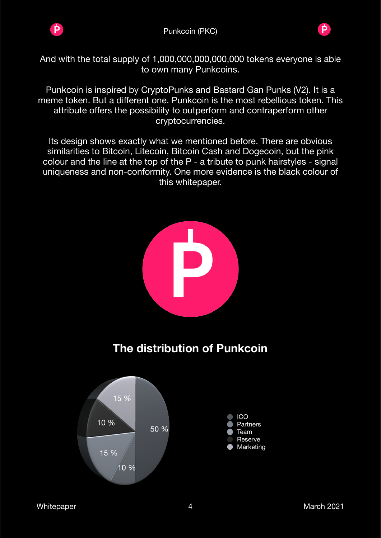



And with the total supply of 1,000,000,000,000,000 tokens everyone is able to own many Punkcoins.

Punkcoin is inspired by CryptoPunks and Bastard Gan Punks (V2). It is a meme token. But a different one. Punkcoin is the most rebellious token. This attribute offers the possibility to outperform and contraperform other cryptocurrencies.

Its design shows exactly what we mentioned before. There are obvious similarities to Bitcoin, Litecoin, Bitcoin Cash and Dogecoin, but the pink colour and the line at the top of the P - a tribute to punk hairstyles - signal uniqueness and non-conformity. One more evidence is the black colour of this whitepaper.

<span id="page-3-0"></span>

**P**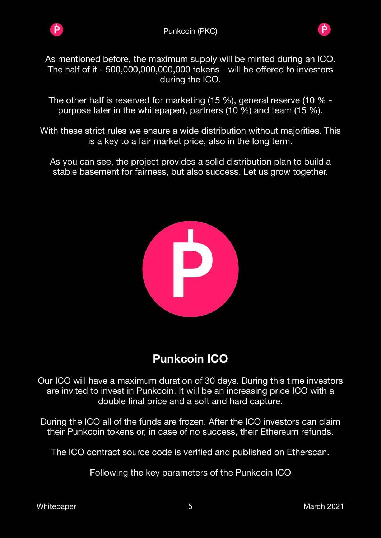

Þ



As mentioned before, the maximum supply will be minted during an ICO. The half of it - 500,000,000,000,000 tokens - will be offered to investors during the ICO.

The other half is reserved for marketing (15 %), general reserve (10 % purpose later in the whitepaper), partners (10 %) and team (15 %).

With these strict rules we ensure a wide distribution without majorities. This is a key to a fair market price, also in the long term.

As you can see, the project provides a solid distribution plan to build a stable basement for fairness, but also success. Let us grow together.



## <span id="page-4-0"></span>**Punkcoin ICO**

Our ICO will have a maximum duration of 30 days. During this time investors are invited to invest in Punkcoin. It will be an increasing price ICO with a double final price and a soft and hard capture.

During the ICO all of the funds are frozen. After the ICO investors can claim their Punkcoin tokens or, in case of no success, their Ethereum refunds.

The ICO contract source code is verified and published on Etherscan.

Following the key parameters of the Punkcoin ICO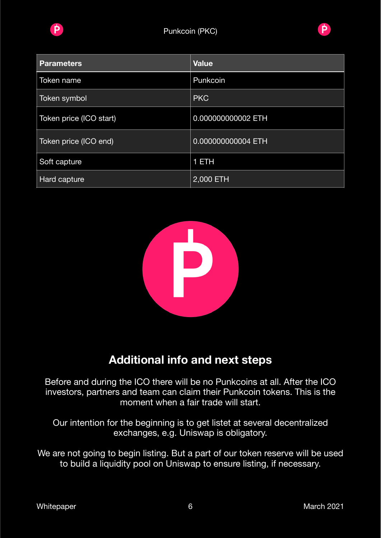



| <b>Parameters</b>       | <b>Value</b>       |
|-------------------------|--------------------|
| Token name              | Punkcoin           |
| Token symbol            | <b>PKC</b>         |
| Token price (ICO start) | 0.000000000002 ETH |
| Token price (ICO end)   | 0.000000000004 ETH |
| Soft capture            | 1 ETH              |
| Hard capture            | 2,000 ETH          |



### <span id="page-5-0"></span>**Additional info and next steps**

Before and during the ICO there will be no Punkcoins at all. After the ICO investors, partners and team can claim their Punkcoin tokens. This is the moment when a fair trade will start.

Our intention for the beginning is to get listet at several decentralized exchanges, e.g. Uniswap is obligatory.

We are not going to begin listing. But a part of our token reserve will be used to build a liquidity pool on Uniswap to ensure listing, if necessary.